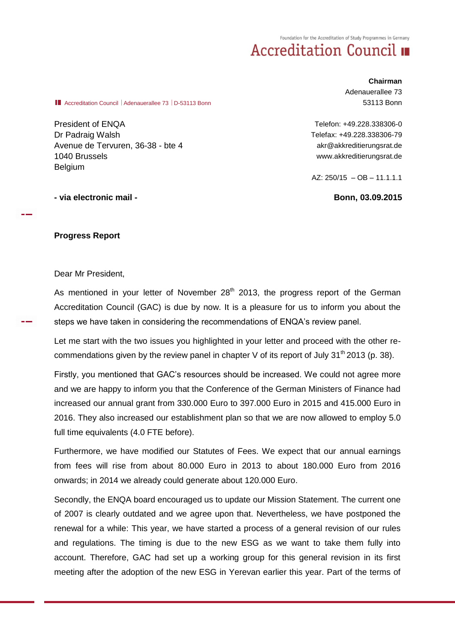Foundation for the Accreditation of Study Programmes in Germany

## **Accreditation Council II**

**Accreditation Council | Adenauerallee 73 | D-53113 Bonn** 

President of ENQA Dr Padraig Walsh Avenue de Tervuren, 36-38 - bte 4 1040 Brussels Belgium

**Chairman** Adenauerallee 73 53113 Bonn

Telefon: +49.228.338306-0 Telefax: +49.228.338306-79 akr@akkreditierungsrat.de www.akkreditierungsrat.de

AZ:  $250/15 - OB - 11.1.1.1$ 

## **- via electronic mail - Bonn, 03.09.2015**

## **Progress Report**

Dear Mr President,

As mentioned in your letter of November  $28<sup>th</sup>$  2013, the progress report of the German Accreditation Council (GAC) is due by now. It is a pleasure for us to inform you about the steps we have taken in considering the recommendations of ENQA's review panel.

Let me start with the two issues you highlighted in your letter and proceed with the other recommendations given by the review panel in chapter V of its report of July 31<sup>th</sup> 2013 (p. 38).

Firstly, you mentioned that GAC's resources should be increased. We could not agree more and we are happy to inform you that the Conference of the German Ministers of Finance had increased our annual grant from 330.000 Euro to 397.000 Euro in 2015 and 415.000 Euro in 2016. They also increased our establishment plan so that we are now allowed to employ 5.0 full time equivalents (4.0 FTE before).

Furthermore, we have modified our Statutes of Fees. We expect that our annual earnings from fees will rise from about 80.000 Euro in 2013 to about 180.000 Euro from 2016 onwards; in 2014 we already could generate about 120.000 Euro.

Secondly, the ENQA board encouraged us to update our Mission Statement. The current one of 2007 is clearly outdated and we agree upon that. Nevertheless, we have postponed the renewal for a while: This year, we have started a process of a general revision of our rules and regulations. The timing is due to the new ESG as we want to take them fully into account. Therefore, GAC had set up a working group for this general revision in its first meeting after the adoption of the new ESG in Yerevan earlier this year. Part of the terms of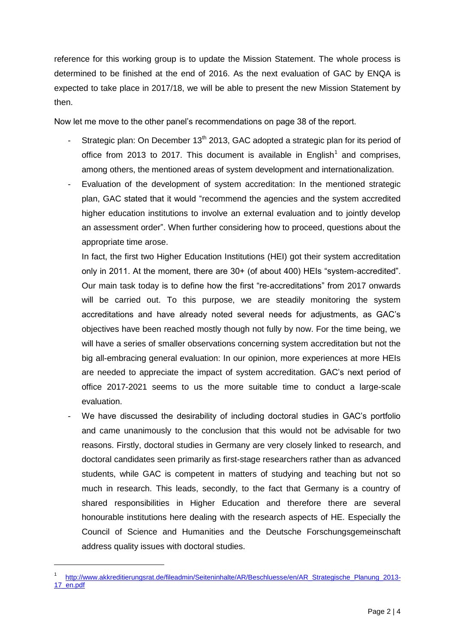reference for this working group is to update the Mission Statement. The whole process is determined to be finished at the end of 2016. As the next evaluation of GAC by ENQA is expected to take place in 2017/18, we will be able to present the new Mission Statement by then.

Now let me move to the other panel's recommendations on page 38 of the report.

- Strategic plan: On December 13<sup>th</sup> 2013, GAC adopted a strategic plan for its period of office from 2013 to 2017. This document is available in English<sup>1</sup> and comprises, among others, the mentioned areas of system development and internationalization.
- Evaluation of the development of system accreditation: In the mentioned strategic plan, GAC stated that it would "recommend the agencies and the system accredited higher education institutions to involve an external evaluation and to jointly develop an assessment order". When further considering how to proceed, questions about the appropriate time arose.

In fact, the first two Higher Education Institutions (HEI) got their system accreditation only in 2011. At the moment, there are 30+ (of about 400) HEIs "system-accredited". Our main task today is to define how the first "re-accreditations" from 2017 onwards will be carried out. To this purpose, we are steadily monitoring the system accreditations and have already noted several needs for adjustments, as GAC's objectives have been reached mostly though not fully by now. For the time being, we will have a series of smaller observations concerning system accreditation but not the big all-embracing general evaluation: In our opinion, more experiences at more HEIs are needed to appreciate the impact of system accreditation. GAC's next period of office 2017-2021 seems to us the more suitable time to conduct a large-scale evaluation.

We have discussed the desirability of including doctoral studies in GAC's portfolio and came unanimously to the conclusion that this would not be advisable for two reasons. Firstly, doctoral studies in Germany are very closely linked to research, and doctoral candidates seen primarily as first-stage researchers rather than as advanced students, while GAC is competent in matters of studying and teaching but not so much in research. This leads, secondly, to the fact that Germany is a country of shared responsibilities in Higher Education and therefore there are several honourable institutions here dealing with the research aspects of HE. Especially the Council of Science and Humanities and the Deutsche Forschungsgemeinschaft address quality issues with doctoral studies.

<sup>1</sup> [http://www.akkreditierungsrat.de/fileadmin/Seiteninhalte/AR/Beschluesse/en/AR\\_Strategische\\_Planung\\_2013-](http://www.akkreditierungsrat.de/fileadmin/Seiteninhalte/AR/Beschluesse/en/AR_Strategische_Planung_2013-17_en.pdf) [17\\_en.pdf](http://www.akkreditierungsrat.de/fileadmin/Seiteninhalte/AR/Beschluesse/en/AR_Strategische_Planung_2013-17_en.pdf)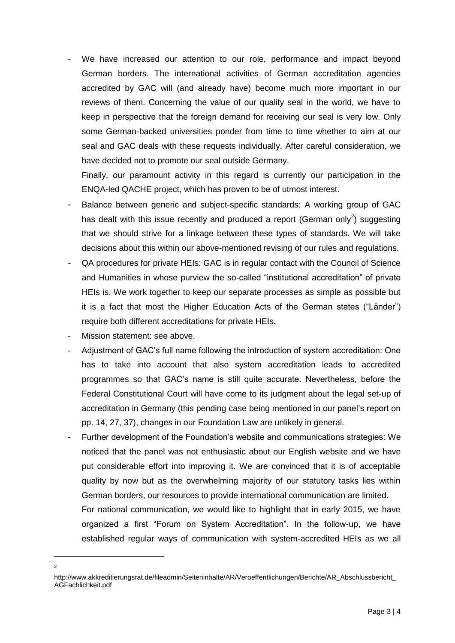We have increased our attention to our role, performance and impact beyond German borders. The international activities of German accreditation agencies accredited by GAC will (and already have) become much more important in our reviews of them. Concerning the value of our quality seal in the world, we have to keep in perspective that the foreign demand for receiving our seal is very low. Only some German-backed universities ponder from time to time whether to aim at our seal and GAC deals with these requests individually. After careful consideration, we have decided not to promote our seal outside Germany.

Finally, our paramount activity in this regard is currently our participation in the ENQA-led QACHE project, which has proven to be of utmost interest.

- Balance between generic and subject-specific standards: A working group of GAC has dealt with this issue recently and produced a report (German only<sup>2</sup>) suggesting that we should strive for a linkage between these types of standards. We will take decisions about this within our above-mentioned revising of our rules and regulations.
- QA procedures for private HEIs: GAC is in regular contact with the Council of Science and Humanities in whose purview the so-called "institutional accreditation" of private HEIs is. We work together to keep our separate processes as simple as possible but it is a fact that most the Higher Education Acts of the German states ("Länder") require both different accreditations for private HEIs.
- Mission statement: see above.
- Adjustment of GAC's full name following the introduction of system accreditation: One has to take into account that also system accreditation leads to accredited programmes so that GAC's name is still quite accurate. Nevertheless, before the Federal Constitutional Court will have come to its judgment about the legal set-up of accreditation in Germany (this pending case being mentioned in our panel's report on pp. 14, 27, 37), changes in our Foundation Law are unlikely in general.
- Further development of the Foundation's website and communications strategies: We noticed that the panel was not enthusiastic about our English website and we have put considerable effort into improving it. We are convinced that it is of acceptable quality by now but as the overwhelming majority of our statutory tasks lies within German borders, our resources to provide international communication are limited.

For national communication, we would like to highlight that in early 2015, we have organized a first "Forum on System Accreditation". In the follow-up, we have established regular ways of communication with system-accredited HEIs as we all

 $\overline{a}$ 2

http://www.akkreditierungsrat.de/fileadmin/Seiteninhalte/AR/Veroeffentlichungen/Berichte/AR\_Abschlussbericht\_ AGFachlichkeit.pdf